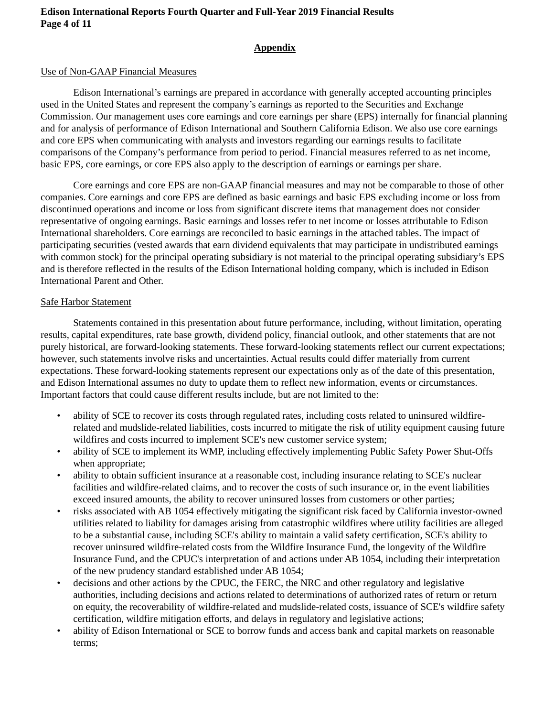## **Edison International Reports Fourth Quarter and Full-Year 2019 Financial Results Page 4 of 11**

### **Appendix**

#### Use of Non-GAAP Financial Measures

Edison International's earnings are prepared in accordance with generally accepted accounting principles used in the United States and represent the company's earnings as reported to the Securities and Exchange Commission. Our management uses core earnings and core earnings per share (EPS) internally for financial planning and for analysis of performance of Edison International and Southern California Edison. We also use core earnings and core EPS when communicating with analysts and investors regarding our earnings results to facilitate comparisons of the Company's performance from period to period. Financial measures referred to as net income, basic EPS, core earnings, or core EPS also apply to the description of earnings or earnings per share.

Core earnings and core EPS are non-GAAP financial measures and may not be comparable to those of other companies. Core earnings and core EPS are defined as basic earnings and basic EPS excluding income or loss from discontinued operations and income or loss from significant discrete items that management does not consider representative of ongoing earnings. Basic earnings and losses refer to net income or losses attributable to Edison International shareholders. Core earnings are reconciled to basic earnings in the attached tables. The impact of participating securities (vested awards that earn dividend equivalents that may participate in undistributed earnings with common stock) for the principal operating subsidiary is not material to the principal operating subsidiary's EPS and is therefore reflected in the results of the Edison International holding company, which is included in Edison International Parent and Other.

#### Safe Harbor Statement

Statements contained in this presentation about future performance, including, without limitation, operating results, capital expenditures, rate base growth, dividend policy, financial outlook, and other statements that are not purely historical, are forward-looking statements. These forward-looking statements reflect our current expectations; however, such statements involve risks and uncertainties. Actual results could differ materially from current expectations. These forward-looking statements represent our expectations only as of the date of this presentation, and Edison International assumes no duty to update them to reflect new information, events or circumstances. Important factors that could cause different results include, but are not limited to the:

- ability of SCE to recover its costs through regulated rates, including costs related to uninsured wildfirerelated and mudslide-related liabilities, costs incurred to mitigate the risk of utility equipment causing future wildfires and costs incurred to implement SCE's new customer service system;
- ability of SCE to implement its WMP, including effectively implementing Public Safety Power Shut-Offs when appropriate;
- ability to obtain sufficient insurance at a reasonable cost, including insurance relating to SCE's nuclear facilities and wildfire-related claims, and to recover the costs of such insurance or, in the event liabilities exceed insured amounts, the ability to recover uninsured losses from customers or other parties;
- risks associated with AB 1054 effectively mitigating the significant risk faced by California investor-owned utilities related to liability for damages arising from catastrophic wildfires where utility facilities are alleged to be a substantial cause, including SCE's ability to maintain a valid safety certification, SCE's ability to recover uninsured wildfire-related costs from the Wildfire Insurance Fund, the longevity of the Wildfire Insurance Fund, and the CPUC's interpretation of and actions under AB 1054, including their interpretation of the new prudency standard established under AB 1054;
- decisions and other actions by the CPUC, the FERC, the NRC and other regulatory and legislative authorities, including decisions and actions related to determinations of authorized rates of return or return on equity, the recoverability of wildfire-related and mudslide-related costs, issuance of SCE's wildfire safety certification, wildfire mitigation efforts, and delays in regulatory and legislative actions;
- ability of Edison International or SCE to borrow funds and access bank and capital markets on reasonable terms;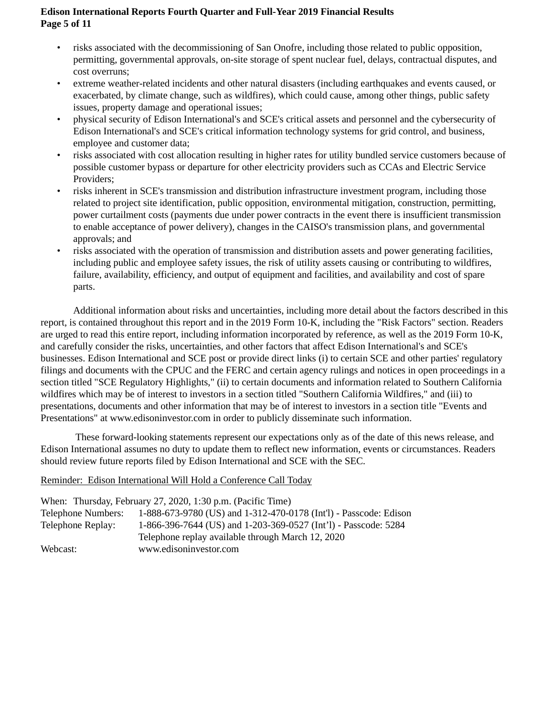# **Edison International Reports Fourth Quarter and Full-Year 2019 Financial Results Page 5 of 11**

- risks associated with the decommissioning of San Onofre, including those related to public opposition, permitting, governmental approvals, on-site storage of spent nuclear fuel, delays, contractual disputes, and cost overruns;
- extreme weather-related incidents and other natural disasters (including earthquakes and events caused, or exacerbated, by climate change, such as wildfires), which could cause, among other things, public safety issues, property damage and operational issues;
- physical security of Edison International's and SCE's critical assets and personnel and the cybersecurity of Edison International's and SCE's critical information technology systems for grid control, and business, employee and customer data;
- risks associated with cost allocation resulting in higher rates for utility bundled service customers because of possible customer bypass or departure for other electricity providers such as CCAs and Electric Service Providers;
- risks inherent in SCE's transmission and distribution infrastructure investment program, including those related to project site identification, public opposition, environmental mitigation, construction, permitting, power curtailment costs (payments due under power contracts in the event there is insufficient transmission to enable acceptance of power delivery), changes in the CAISO's transmission plans, and governmental approvals; and
- risks associated with the operation of transmission and distribution assets and power generating facilities, including public and employee safety issues, the risk of utility assets causing or contributing to wildfires, failure, availability, efficiency, and output of equipment and facilities, and availability and cost of spare parts.

Additional information about risks and uncertainties, including more detail about the factors described in this report, is contained throughout this report and in the 2019 Form 10-K, including the "Risk Factors" section. Readers are urged to read this entire report, including information incorporated by reference, as well as the 2019 Form 10-K, and carefully consider the risks, uncertainties, and other factors that affect Edison International's and SCE's businesses. Edison International and SCE post or provide direct links (i) to certain SCE and other parties' regulatory filings and documents with the CPUC and the FERC and certain agency rulings and notices in open proceedings in a section titled "SCE Regulatory Highlights," (ii) to certain documents and information related to Southern California wildfires which may be of interest to investors in a section titled "Southern California Wildfires," and (iii) to presentations, documents and other information that may be of interest to investors in a section title "Events and Presentations" at www.edisoninvestor.com in order to publicly disseminate such information.

These forward-looking statements represent our expectations only as of the date of this news release, and Edison International assumes no duty to update them to reflect new information, events or circumstances. Readers should review future reports filed by Edison International and SCE with the SEC.

### Reminder: Edison International Will Hold a Conference Call Today

|                    | When: Thursday, February 27, 2020, 1:30 p.m. (Pacific Time)       |
|--------------------|-------------------------------------------------------------------|
| Telephone Numbers: | 1-888-673-9780 (US) and 1-312-470-0178 (Int'l) - Passcode: Edison |
| Telephone Replay:  | 1-866-396-7644 (US) and 1-203-369-0527 (Int'l) - Passcode: 5284   |
|                    | Telephone replay available through March 12, 2020                 |
| Webcast:           | www.edisoninvestor.com                                            |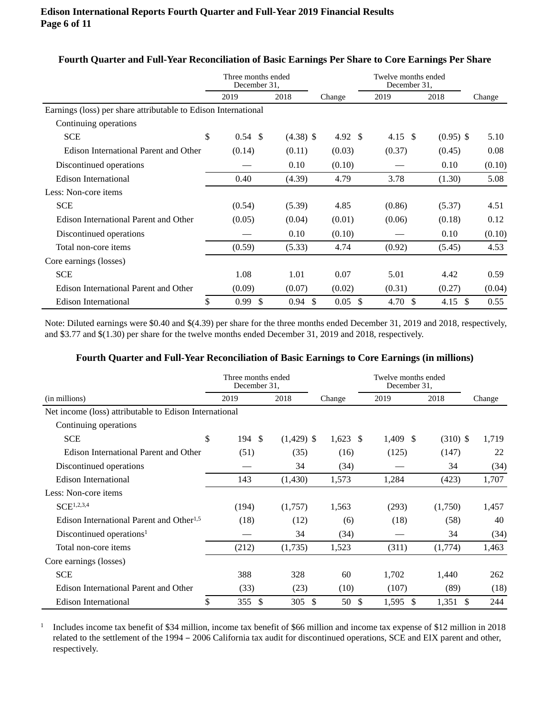## **Edison International Reports Fourth Quarter and Full-Year 2019 Financial Results Page 6 of 11**

|                                                                | Three months ended<br>December 31, |                    |            | Twelve months ended<br>December 31, |             |        |
|----------------------------------------------------------------|------------------------------------|--------------------|------------|-------------------------------------|-------------|--------|
|                                                                | 2019                               | 2018               | Change     | 2019                                | 2018        | Change |
| Earnings (loss) per share attributable to Edison International |                                    |                    |            |                                     |             |        |
| Continuing operations                                          |                                    |                    |            |                                     |             |        |
| \$<br><b>SCE</b>                                               | $0.54 \text{ }$ \$                 | $(4.38)$ \$        | 4.92 \$    | $4.15 \text{ }$ \$                  | $(0.95)$ \$ | 5.10   |
| Edison International Parent and Other                          | (0.14)                             | (0.11)             | (0.03)     | (0.37)                              | (0.45)      | 0.08   |
| Discontinued operations                                        |                                    | 0.10               | (0.10)     |                                     | 0.10        | (0.10) |
| Edison International                                           | 0.40                               | (4.39)             | 4.79       | 3.78                                | (1.30)      | 5.08   |
| Less: Non-core items                                           |                                    |                    |            |                                     |             |        |
| <b>SCE</b>                                                     | (0.54)                             | (5.39)             | 4.85       | (0.86)                              | (5.37)      | 4.51   |
| Edison International Parent and Other                          | (0.05)                             | (0.04)             | (0.01)     | (0.06)                              | (0.18)      | 0.12   |
| Discontinued operations                                        |                                    | 0.10               | (0.10)     |                                     | 0.10        | (0.10) |
| Total non-core items                                           | (0.59)                             | (5.33)             | 4.74       | (0.92)                              | (5.45)      | 4.53   |
| Core earnings (losses)                                         |                                    |                    |            |                                     |             |        |
| <b>SCE</b>                                                     | 1.08                               | 1.01               | 0.07       | 5.01                                | 4.42        | 0.59   |
| Edison International Parent and Other                          | (0.09)                             | (0.07)             | (0.02)     | (0.31)                              | (0.27)      | (0.04) |
| \$<br>Edison International                                     | 0.99<br><sup>\$</sup>              | $0.94 \text{ }$ \$ | 0.05<br>-S | 4.70 $\frac{1}{2}$                  | 4.15 \$     | 0.55   |

### **Fourth Quarter and Full-Year Reconciliation of Basic Earnings Per Share to Core Earnings Per Share**

Note: Diluted earnings were \$0.40 and \$(4.39) per share for the three months ended December 31, 2019 and 2018, respectively, and \$3.77 and \$(1.30) per share for the twelve months ended December 31, 2019 and 2018, respectively.

#### **Fourth Quarter and Full-Year Reconciliation of Basic Earnings to Core Earnings (in millions)**

|                                                        | Three months ended<br>December 31. |              |            | Twelve months ended<br>December 31. |               |        |
|--------------------------------------------------------|------------------------------------|--------------|------------|-------------------------------------|---------------|--------|
| (in millions)                                          | 2019                               | 2018         | Change     | 2019                                | 2018          | Change |
| Net income (loss) attributable to Edison International |                                    |              |            |                                     |               |        |
| Continuing operations                                  |                                    |              |            |                                     |               |        |
| \$<br><b>SCE</b>                                       | 194 \$                             | $(1,429)$ \$ | $1,623$ \$ | $1,409$ \$                          | $(310)$ \$    | 1,719  |
| Edison International Parent and Other                  | (51)                               | (35)         | (16)       | (125)                               | (147)         | 22     |
| Discontinued operations                                |                                    | 34           | (34)       |                                     | 34            | (34)   |
| <b>Edison International</b>                            | 143                                | (1,430)      | 1,573      | 1,284                               | (423)         | 1,707  |
| Less: Non-core items                                   |                                    |              |            |                                     |               |        |
| $SCE^{1,2,3,4}$                                        | (194)                              | (1,757)      | 1,563      | (293)                               | (1,750)       | 1,457  |
| Edison International Parent and Other <sup>1,5</sup>   | (18)                               | (12)         | (6)        | (18)                                | (58)          | 40     |
| Discontinued operations <sup>1</sup>                   |                                    | 34           | (34)       |                                     | 34            | (34)   |
| Total non-core items                                   | (212)                              | (1,735)      | 1,523      | (311)                               | (1,774)       | 1,463  |
| Core earnings (losses)                                 |                                    |              |            |                                     |               |        |
| <b>SCE</b>                                             | 388                                | 328          | 60         | 1,702                               | 1,440         | 262    |
| Edison International Parent and Other                  | (33)                               | (23)         | (10)       | (107)                               | (89)          | (18)   |
| \$<br>Edison International                             | S<br>355                           | 305<br>-S    | -\$<br>50  | 1,595<br>-S                         | 1,351<br>- \$ | 244    |

<sup>1</sup> Includes income tax benefit of \$34 million, income tax benefit of \$66 million and income tax expense of \$12 million in 2018 related to the settlement of the 1994 ‒ 2006 California tax audit for discontinued operations, SCE and EIX parent and other, respectively.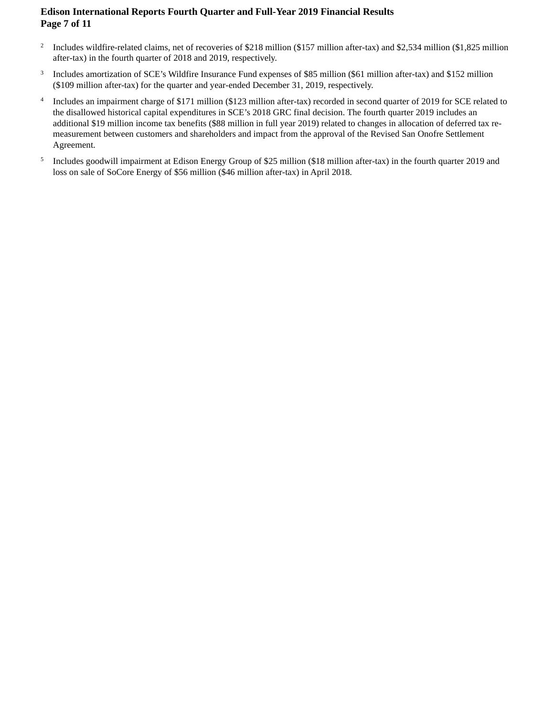## **Edison International Reports Fourth Quarter and Full-Year 2019 Financial Results Page 7 of 11**

- <sup>2</sup> Includes wildfire-related claims, net of recoveries of \$218 million (\$157 million after-tax) and \$2,534 million (\$1,825 million after-tax) in the fourth quarter of 2018 and 2019, respectively.
- <sup>3</sup> Includes amortization of SCE's Wildfire Insurance Fund expenses of \$85 million (\$61 million after-tax) and \$152 million (\$109 million after-tax) for the quarter and year-ended December 31, 2019, respectively.
- <sup>4</sup> Includes an impairment charge of \$171 million (\$123 million after-tax) recorded in second quarter of 2019 for SCE related to the disallowed historical capital expenditures in SCE's 2018 GRC final decision. The fourth quarter 2019 includes an additional \$19 million income tax benefits (\$88 million in full year 2019) related to changes in allocation of deferred tax remeasurement between customers and shareholders and impact from the approval of the Revised San Onofre Settlement Agreement.
- <sup>5</sup> Includes goodwill impairment at Edison Energy Group of \$25 million (\$18 million after-tax) in the fourth quarter 2019 and loss on sale of SoCore Energy of \$56 million (\$46 million after-tax) in April 2018.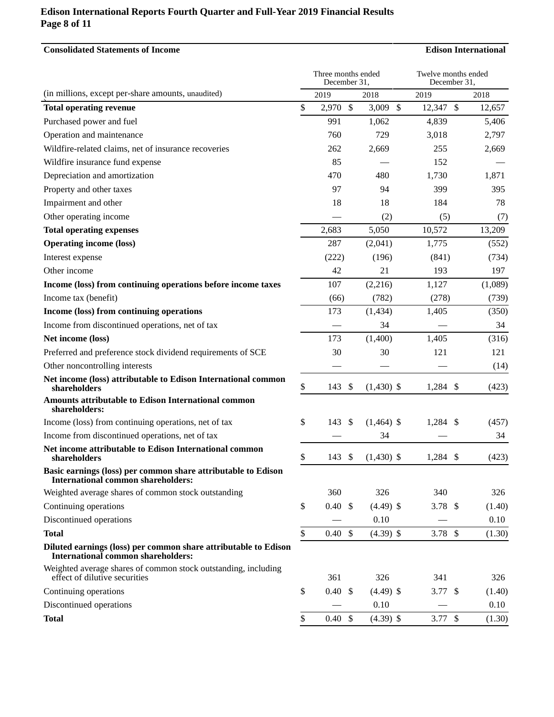## **Edison International Reports Fourth Quarter and Full-Year 2019 Financial Results Page 8 of 11**

## **Consolidated Statements of Income Edison International** Three months ended December 31, Twelve months ended December 31, (in millions, except per-share amounts, unaudited) **Total operating revenue 8 2**,970 **\$ 3**,009 **\$ 12,347 \$** 12,657 2019 2018 2019 2018 Purchased power and fuel 1,062 4,839 5,406 Operation and maintenance  $\begin{array}{cccc} 760 & 729 & 3,018 & 2,797 \end{array}$ Wildfire-related claims, net of insurance recoveries 262 2,669 255 2,669 Wildfire insurance fund expense 85 and 152 Depreciation and amortization and amortization and amortization and amortization and the state of the state of the state  $470$  and  $480$  and  $1,730$  and  $1,871$ Property and other taxes and the taxes and the set of the set of the set of the set of the set of the set of the set of the set of the set of the set of the set of the set of the set of the set of the set of the set of the Impairment and other 18 18 184 78 Other operating income  $\qquad \qquad$  (2) (5) (7) **Total operating expenses** 2,683 5,050 10,572 13,209 **Operating income (loss)** 287 (2,041) 1,775 (552) Interest expense (222) (196) (841) (734) Other income 197 197 197 197 198 197 198 197 198 197 198 197 198 197 198 197 198 197 198 197 198 197 198 197 1 **Income (loss) from continuing operations before income taxes** 107 (2,216) 1,127 (1,089) Income tax (benefit)  $(739)$   $(739)$   $(739)$   $(739)$   $(739)$ **Income (loss) from continuing operations** 173 (1,434) 1,405 (350) Income from discontinued operations, net of tax  $\qquad -$  34  $\qquad -$  34  $\qquad -$ **Net income (loss)** 173 (1,400) 1,405 (316) Preferred and preference stock dividend requirements of SCE 30 30 121 121 121 Other noncontrolling interests — — — — (14) **Net income (loss) attributable to Edison International common shareholders** (423) **Amounts attributable to Edison International common shareholders:** Income (loss) from continuing operations, net of tax  $\qquad$   $\qquad$   $\qquad$   $\qquad$   $\qquad$   $\qquad$   $\qquad$   $\qquad$   $\qquad$   $\qquad$   $\qquad$   $\qquad$   $\qquad$   $\qquad$   $\qquad$   $\qquad$   $\qquad$   $\qquad$   $\qquad$   $\qquad$   $\qquad$   $\qquad$   $\qquad$   $\qquad$   $\qquad$   $\qquad$   $\qquad$   $\qquad$  Income from discontinued operations, net of tax  $\qquad -$  34  $\qquad$  34  $\qquad$ **Net income attributable to Edison International common shareholders 6 143** \$ 143 \$ (1,430) \$ 1,284 \$ (423) **Basic earnings (loss) per common share attributable to Edison International common shareholders:** Weighted average shares of common stock outstanding 360 326 340 326 340 326 Continuing operations  $\qquad \qquad$  \$ 0.40 \$ (4.49) \$ 3.78 \$ (1.40) Discontinued operations — 0.10 — 0.10 — 0.10 **Total 5** 0.40 \$ (4.39) \$ 3.78 \$ (1.30)

**Diluted earnings (loss) per common share attributable to Edison International common shareholders:**

Weighted average shares of common stock outstanding, including effect of dilutive securities  $\frac{361}{326}$  326 341 326

Continuing operations  $\qquad \qquad$  \$ 0.40 \$ (4.49) \$ 3.77 \$ (1.40)

Discontinued operations — 0.10 — 0.10 — 0.10

**Total 5** 0.40 \$ (4.39) \$ 3.77 \$ (1.30)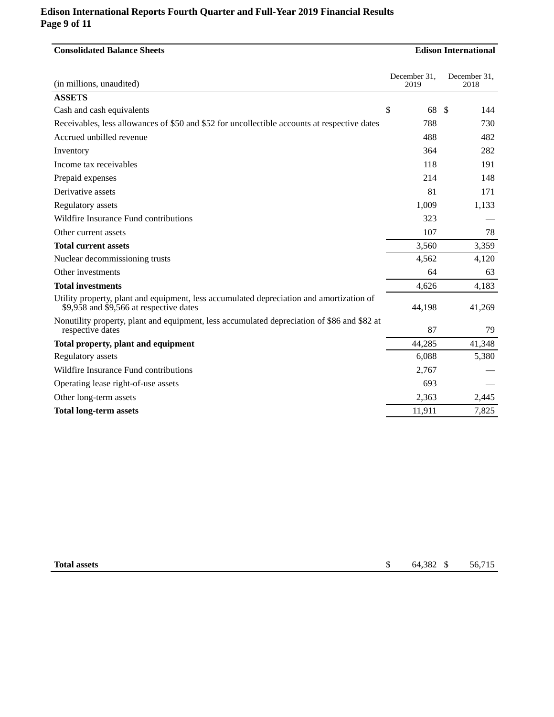# **Edison International Reports Fourth Quarter and Full-Year 2019 Financial Results Page 9 of 11**

| December 31,<br>December 31,<br>(in millions, unaudited)<br>2019<br>2018<br><b>ASSETS</b><br>\$<br>68 \$<br>Cash and cash equivalents<br>144<br>Receivables, less allowances of \$50 and \$52 for uncollectible accounts at respective dates<br>788<br>730<br>Accrued unbilled revenue<br>488<br>482<br>364<br>282<br>Inventory<br>Income tax receivables<br>118<br>191<br>214<br>148<br>Prepaid expenses<br>Derivative assets<br>81<br>171<br>1,009<br>Regulatory assets<br>1,133<br>Wildfire Insurance Fund contributions<br>323<br>107<br>78<br>Other current assets<br>3,560<br>3,359<br><b>Total current assets</b><br>Nuclear decommissioning trusts<br>4,562<br>4,120<br>Other investments<br>64<br>63<br><b>Total investments</b><br>4,626<br>4,183<br>Utility property, plant and equipment, less accumulated depreciation and amortization of<br>$$9,958$ and $$9,566$ at respective dates<br>44,198<br>41,269<br>Nonutility property, plant and equipment, less accumulated depreciation of \$86 and \$82 at<br>87<br>respective dates<br>79<br>Total property, plant and equipment<br>44,285<br>41,348<br>Regulatory assets<br>6,088<br>5,380<br>Wildfire Insurance Fund contributions<br>2,767<br>693<br>Operating lease right-of-use assets<br>2,363<br>Other long-term assets<br>2,445<br><b>Total long-term assets</b><br>11,911<br>7,825 | <b>Consolidated Balance Sheets</b> |  | <b>Edison International</b> |
|-----------------------------------------------------------------------------------------------------------------------------------------------------------------------------------------------------------------------------------------------------------------------------------------------------------------------------------------------------------------------------------------------------------------------------------------------------------------------------------------------------------------------------------------------------------------------------------------------------------------------------------------------------------------------------------------------------------------------------------------------------------------------------------------------------------------------------------------------------------------------------------------------------------------------------------------------------------------------------------------------------------------------------------------------------------------------------------------------------------------------------------------------------------------------------------------------------------------------------------------------------------------------------------------------------------------------------------------------------------|------------------------------------|--|-----------------------------|
|                                                                                                                                                                                                                                                                                                                                                                                                                                                                                                                                                                                                                                                                                                                                                                                                                                                                                                                                                                                                                                                                                                                                                                                                                                                                                                                                                           |                                    |  |                             |
|                                                                                                                                                                                                                                                                                                                                                                                                                                                                                                                                                                                                                                                                                                                                                                                                                                                                                                                                                                                                                                                                                                                                                                                                                                                                                                                                                           |                                    |  |                             |
|                                                                                                                                                                                                                                                                                                                                                                                                                                                                                                                                                                                                                                                                                                                                                                                                                                                                                                                                                                                                                                                                                                                                                                                                                                                                                                                                                           |                                    |  |                             |
|                                                                                                                                                                                                                                                                                                                                                                                                                                                                                                                                                                                                                                                                                                                                                                                                                                                                                                                                                                                                                                                                                                                                                                                                                                                                                                                                                           |                                    |  |                             |
|                                                                                                                                                                                                                                                                                                                                                                                                                                                                                                                                                                                                                                                                                                                                                                                                                                                                                                                                                                                                                                                                                                                                                                                                                                                                                                                                                           |                                    |  |                             |
|                                                                                                                                                                                                                                                                                                                                                                                                                                                                                                                                                                                                                                                                                                                                                                                                                                                                                                                                                                                                                                                                                                                                                                                                                                                                                                                                                           |                                    |  |                             |
|                                                                                                                                                                                                                                                                                                                                                                                                                                                                                                                                                                                                                                                                                                                                                                                                                                                                                                                                                                                                                                                                                                                                                                                                                                                                                                                                                           |                                    |  |                             |
|                                                                                                                                                                                                                                                                                                                                                                                                                                                                                                                                                                                                                                                                                                                                                                                                                                                                                                                                                                                                                                                                                                                                                                                                                                                                                                                                                           |                                    |  |                             |
|                                                                                                                                                                                                                                                                                                                                                                                                                                                                                                                                                                                                                                                                                                                                                                                                                                                                                                                                                                                                                                                                                                                                                                                                                                                                                                                                                           |                                    |  |                             |
|                                                                                                                                                                                                                                                                                                                                                                                                                                                                                                                                                                                                                                                                                                                                                                                                                                                                                                                                                                                                                                                                                                                                                                                                                                                                                                                                                           |                                    |  |                             |
|                                                                                                                                                                                                                                                                                                                                                                                                                                                                                                                                                                                                                                                                                                                                                                                                                                                                                                                                                                                                                                                                                                                                                                                                                                                                                                                                                           |                                    |  |                             |
|                                                                                                                                                                                                                                                                                                                                                                                                                                                                                                                                                                                                                                                                                                                                                                                                                                                                                                                                                                                                                                                                                                                                                                                                                                                                                                                                                           |                                    |  |                             |
|                                                                                                                                                                                                                                                                                                                                                                                                                                                                                                                                                                                                                                                                                                                                                                                                                                                                                                                                                                                                                                                                                                                                                                                                                                                                                                                                                           |                                    |  |                             |
|                                                                                                                                                                                                                                                                                                                                                                                                                                                                                                                                                                                                                                                                                                                                                                                                                                                                                                                                                                                                                                                                                                                                                                                                                                                                                                                                                           |                                    |  |                             |
|                                                                                                                                                                                                                                                                                                                                                                                                                                                                                                                                                                                                                                                                                                                                                                                                                                                                                                                                                                                                                                                                                                                                                                                                                                                                                                                                                           |                                    |  |                             |
|                                                                                                                                                                                                                                                                                                                                                                                                                                                                                                                                                                                                                                                                                                                                                                                                                                                                                                                                                                                                                                                                                                                                                                                                                                                                                                                                                           |                                    |  |                             |
|                                                                                                                                                                                                                                                                                                                                                                                                                                                                                                                                                                                                                                                                                                                                                                                                                                                                                                                                                                                                                                                                                                                                                                                                                                                                                                                                                           |                                    |  |                             |
|                                                                                                                                                                                                                                                                                                                                                                                                                                                                                                                                                                                                                                                                                                                                                                                                                                                                                                                                                                                                                                                                                                                                                                                                                                                                                                                                                           |                                    |  |                             |
|                                                                                                                                                                                                                                                                                                                                                                                                                                                                                                                                                                                                                                                                                                                                                                                                                                                                                                                                                                                                                                                                                                                                                                                                                                                                                                                                                           |                                    |  |                             |
|                                                                                                                                                                                                                                                                                                                                                                                                                                                                                                                                                                                                                                                                                                                                                                                                                                                                                                                                                                                                                                                                                                                                                                                                                                                                                                                                                           |                                    |  |                             |
|                                                                                                                                                                                                                                                                                                                                                                                                                                                                                                                                                                                                                                                                                                                                                                                                                                                                                                                                                                                                                                                                                                                                                                                                                                                                                                                                                           |                                    |  |                             |
|                                                                                                                                                                                                                                                                                                                                                                                                                                                                                                                                                                                                                                                                                                                                                                                                                                                                                                                                                                                                                                                                                                                                                                                                                                                                                                                                                           |                                    |  |                             |
|                                                                                                                                                                                                                                                                                                                                                                                                                                                                                                                                                                                                                                                                                                                                                                                                                                                                                                                                                                                                                                                                                                                                                                                                                                                                                                                                                           |                                    |  |                             |
|                                                                                                                                                                                                                                                                                                                                                                                                                                                                                                                                                                                                                                                                                                                                                                                                                                                                                                                                                                                                                                                                                                                                                                                                                                                                                                                                                           |                                    |  |                             |

| <b>Total assets</b> | 64,382<br>œ<br>╜ | 56,715 |
|---------------------|------------------|--------|
|                     |                  |        |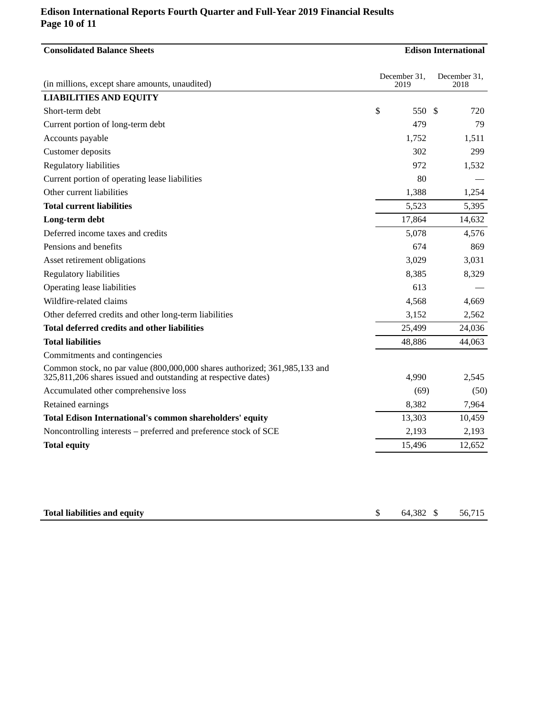# **Edison International Reports Fourth Quarter and Full-Year 2019 Financial Results Page 10 of 11**

| <b>Consolidated Balance Sheets</b>                                                                                                           |    |                      | <b>Edison International</b> |                      |  |
|----------------------------------------------------------------------------------------------------------------------------------------------|----|----------------------|-----------------------------|----------------------|--|
| (in millions, except share amounts, unaudited)                                                                                               |    | December 31,<br>2019 |                             | December 31,<br>2018 |  |
| <b>LIABILITIES AND EQUITY</b>                                                                                                                |    |                      |                             |                      |  |
| Short-term debt                                                                                                                              | \$ | 550                  | -S                          | 720                  |  |
| Current portion of long-term debt                                                                                                            |    | 479                  |                             | 79                   |  |
| Accounts payable                                                                                                                             |    | 1,752                |                             | 1,511                |  |
| Customer deposits                                                                                                                            |    | 302                  |                             | 299                  |  |
| <b>Regulatory liabilities</b>                                                                                                                |    | 972                  |                             | 1,532                |  |
| Current portion of operating lease liabilities                                                                                               |    | 80                   |                             |                      |  |
| Other current liabilities                                                                                                                    |    | 1,388                |                             | 1,254                |  |
| <b>Total current liabilities</b>                                                                                                             |    | 5,523                |                             | 5,395                |  |
| Long-term debt                                                                                                                               |    | 17,864               |                             | 14,632               |  |
| Deferred income taxes and credits                                                                                                            |    | 5,078                |                             | 4,576                |  |
| Pensions and benefits                                                                                                                        |    | 674                  |                             | 869                  |  |
| Asset retirement obligations                                                                                                                 |    | 3,029                |                             | 3,031                |  |
| <b>Regulatory liabilities</b>                                                                                                                |    | 8,385                |                             | 8,329                |  |
| Operating lease liabilities                                                                                                                  |    | 613                  |                             |                      |  |
| Wildfire-related claims                                                                                                                      |    | 4,568                |                             | 4,669                |  |
| Other deferred credits and other long-term liabilities                                                                                       |    | 3,152                |                             | 2,562                |  |
| <b>Total deferred credits and other liabilities</b>                                                                                          |    | 25,499               |                             | 24,036               |  |
| <b>Total liabilities</b>                                                                                                                     |    | 48,886               |                             | 44,063               |  |
| Commitments and contingencies                                                                                                                |    |                      |                             |                      |  |
| Common stock, no par value (800,000,000 shares authorized; 361,985,133 and<br>325,811,206 shares issued and outstanding at respective dates) |    | 4,990                |                             | 2,545                |  |
| Accumulated other comprehensive loss                                                                                                         |    | (69)                 |                             | (50)                 |  |
| Retained earnings                                                                                                                            |    | 8,382                |                             | 7,964                |  |
| Total Edison International's common shareholders' equity                                                                                     |    | 13,303               |                             | 10,459               |  |
| Noncontrolling interests – preferred and preference stock of SCE                                                                             |    | 2,193                |                             | 2,193                |  |
| <b>Total equity</b>                                                                                                                          |    | 15,496               |                             | 12,652               |  |
|                                                                                                                                              |    |                      |                             |                      |  |

| Total liabilities and equity | 64,382 \$ 56,715 |  |
|------------------------------|------------------|--|
|                              |                  |  |